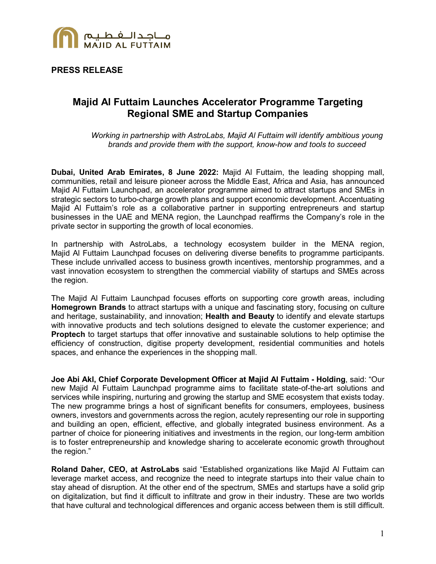

**PRESS RELEASE**

# **Majid Al Futtaim Launches Accelerator Programme Targeting Regional SME and Startup Companies**

*Working in partnership with AstroLabs, Majid Al Futtaim will identify ambitious young brands and provide them with the support, know-how and tools to succeed*

**Dubai, United Arab Emirates, 8 June 2022:** Majid Al Futtaim, the leading shopping mall, communities, retail and leisure pioneer across the Middle East, Africa and Asia, has announced Majid Al Futtaim Launchpad, an accelerator programme aimed to attract startups and SMEs in strategic sectors to turbo-charge growth plans and support economic development. Accentuating Majid Al Futtaim's role as a collaborative partner in supporting entrepreneurs and startup businesses in the UAE and MENA region, the Launchpad reaffirms the Company's role in the private sector in supporting the growth of local economies.

In partnership with AstroLabs, a technology ecosystem builder in the MENA region, Majid Al Futtaim Launchpad focuses on delivering diverse benefits to programme participants. These include unrivalled access to business growth incentives, mentorship programmes, and a vast innovation ecosystem to strengthen the commercial viability of startups and SMEs across the region.

The Majid Al Futtaim Launchpad focuses efforts on supporting core growth areas, including **Homegrown Brands** to attract startups with a unique and fascinating story, focusing on culture and heritage, sustainability, and innovation; **Health and Beauty** to identify and elevate startups with innovative products and tech solutions designed to elevate the customer experience; and **Proptech** to target startups that offer innovative and sustainable solutions to help optimise the efficiency of construction, digitise property development, residential communities and hotels spaces, and enhance the experiences in the shopping mall.

**Joe Abi Akl, Chief Corporate Development Officer at Majid Al Futtaim - Holding**, said: "Our new Majid Al Futtaim Launchpad programme aims to facilitate state-of-the-art solutions and services while inspiring, nurturing and growing the startup and SME ecosystem that exists today. The new programme brings a host of significant benefits for consumers, employees, business owners, investors and governments across the region, acutely representing our role in supporting and building an open, efficient, effective, and globally integrated business environment. As a partner of choice for pioneering initiatives and investments in the region, our long-term ambition is to foster entrepreneurship and knowledge sharing to accelerate economic growth throughout the region."

**Roland Daher, CEO, at AstroLabs** said "Established organizations like Majid Al Futtaim can leverage market access, and recognize the need to integrate startups into their value chain to stay ahead of disruption. At the other end of the spectrum, SMEs and startups have a solid grip on digitalization, but find it difficult to infiltrate and grow in their industry. These are two worlds that have cultural and technological differences and organic access between them is still difficult.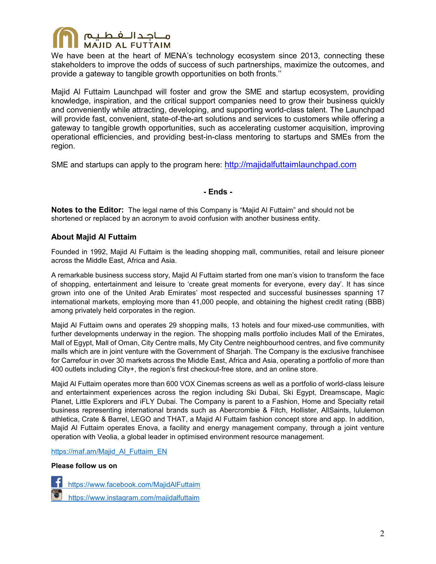

We have been at the heart of MENA's technology ecosystem since 2013, connecting these stakeholders to improve the odds of success of such partnerships, maximize the outcomes, and provide a gateway to tangible growth opportunities on both fronts.''

Majid Al Futtaim Launchpad will foster and grow the SME and startup ecosystem, providing knowledge, inspiration, and the critical support companies need to grow their business quickly and conveniently while attracting, developing, and supporting world-class talent. The Launchpad will provide fast, convenient, state-of-the-art solutions and services to customers while offering a gateway to tangible growth opportunities, such as accelerating customer acquisition, improving operational efficiencies, and providing best-in-class mentoring to startups and SMEs from the region.

SME and startups can apply to the program here: [http://majidalfuttaimlaunchpad.com](https://nam12.safelinks.protection.outlook.com/?url=http%3A%2F%2Fmajidalfuttaimlaunchpad.com%2F&data=05%7C01%7CMuntaha.Shaikh%40edelman.com%7Cc4d4c41bff6e46abf4eb08da49144b17%7Cb824bfb3918e43c2bb1cdcc1ba40a82b%7C0%7C0%7C637902648891317432%7CUnknown%7CTWFpbGZsb3d8eyJWIjoiMC4wLjAwMDAiLCJQIjoiV2luMzIiLCJBTiI6Ik1haWwiLCJXVCI6Mn0%3D%7C3000%7C%7C%7C&sdata=Rcw5O6M0esfwIon22z0BQgzpLzNDEZ1u5Q6GuIUHeaI%3D&reserved=0)

**- Ends -** 

**Notes to the Editor:** The legal name of this Company is "Majid Al Futtaim" and should not be shortened or replaced by an acronym to avoid confusion with another business entity.

## **About Majid Al Futtaim**

Founded in 1992, Majid Al Futtaim is the leading shopping mall, communities, retail and leisure pioneer across the Middle East, Africa and Asia.

A remarkable business success story, Majid Al Futtaim started from one man's vision to transform the face of shopping, entertainment and leisure to 'create great moments for everyone, every day'. It has since grown into one of the United Arab Emirates' most respected and successful businesses spanning 17 international markets, employing more than 41,000 people, and obtaining the highest credit rating (BBB) among privately held corporates in the region.

Majid Al Futtaim owns and operates 29 shopping malls, 13 hotels and four mixed-use communities, with further developments underway in the region. The shopping malls portfolio includes Mall of the Emirates, Mall of Egypt, Mall of Oman, City Centre malls, My City Centre neighbourhood centres, and five community malls which are in joint venture with the Government of Sharjah. The Company is the exclusive franchisee for Carrefour in over 30 markets across the Middle East, Africa and Asia, operating a portfolio of more than 400 outlets including City+, the region's first checkout-free store, and an online store.

Majid Al Futtaim operates more than 600 VOX Cinemas screens as well as a portfolio of world-class leisure and entertainment experiences across the region including Ski Dubai, Ski Egypt, Dreamscape, Magic Planet, Little Explorers and iFLY Dubai. The Company is parent to a Fashion, Home and Specialty retail business representing international brands such as Abercrombie & Fitch, Hollister, AllSaints, lululemon athletica, Crate & Barrel, LEGO and THAT, a Majid Al Futtaim fashion concept store and app. In addition, Majid Al Futtaim operates Enova, a facility and energy management company, through a joint venture operation with Veolia, a global leader in optimised environment resource management.

[https://maf.am/Majid\\_Al\\_Futtaim\\_EN](https://maf.am/Majid_Al_Futtaim_EN)

#### **Please follow us on**

 <https://www.facebook.com/MajidAlFuttaim> <https://www.instagram.com/majidalfuttaim>